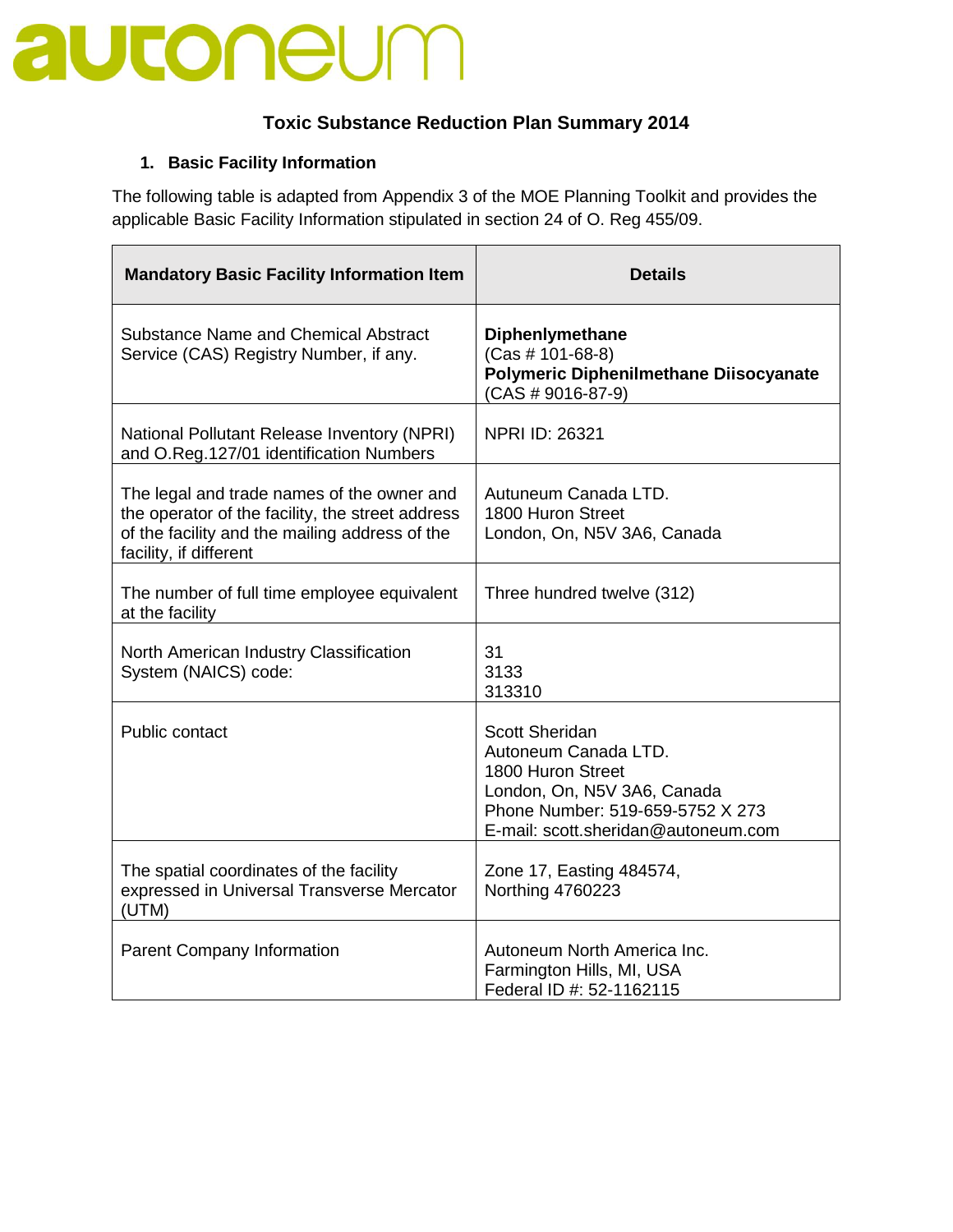## JCOUGUW

### **Toxic Substance Reduction Plan Summary 2014**

#### **1. Basic Facility Information**

 $\blacksquare$ 

The following table is adapted from Appendix 3 of the MOE Planning Toolkit and provides the applicable Basic Facility Information stipulated in section 24 of O. Reg 455/09.

| <b>Mandatory Basic Facility Information Item</b>                                                                                                                           | <b>Details</b>                                                                                                                                                               |
|----------------------------------------------------------------------------------------------------------------------------------------------------------------------------|------------------------------------------------------------------------------------------------------------------------------------------------------------------------------|
| Substance Name and Chemical Abstract<br>Service (CAS) Registry Number, if any.                                                                                             | <b>Diphenlymethane</b><br>$(Cas # 101-68-8)$<br>Polymeric Diphenilmethane Diisocyanate<br>$(CAS # 9016-87-9)$                                                                |
| National Pollutant Release Inventory (NPRI)<br>and O.Reg.127/01 identification Numbers                                                                                     | <b>NPRI ID: 26321</b>                                                                                                                                                        |
| The legal and trade names of the owner and<br>the operator of the facility, the street address<br>of the facility and the mailing address of the<br>facility, if different | Autuneum Canada LTD.<br>1800 Huron Street<br>London, On, N5V 3A6, Canada                                                                                                     |
| The number of full time employee equivalent<br>at the facility                                                                                                             | Three hundred twelve (312)                                                                                                                                                   |
| North American Industry Classification<br>System (NAICS) code:                                                                                                             | 31<br>3133<br>313310                                                                                                                                                         |
| Public contact                                                                                                                                                             | <b>Scott Sheridan</b><br>Autoneum Canada LTD.<br>1800 Huron Street<br>London, On, N5V 3A6, Canada<br>Phone Number: 519-659-5752 X 273<br>E-mail: scott.sheridan@autoneum.com |
| The spatial coordinates of the facility<br>expressed in Universal Transverse Mercator<br>(UTM)                                                                             | Zone 17, Easting 484574,<br>Northing 4760223                                                                                                                                 |
| Parent Company Information                                                                                                                                                 | Autoneum North America Inc.<br>Farmington Hills, MI, USA<br>Federal ID #: 52-1162115                                                                                         |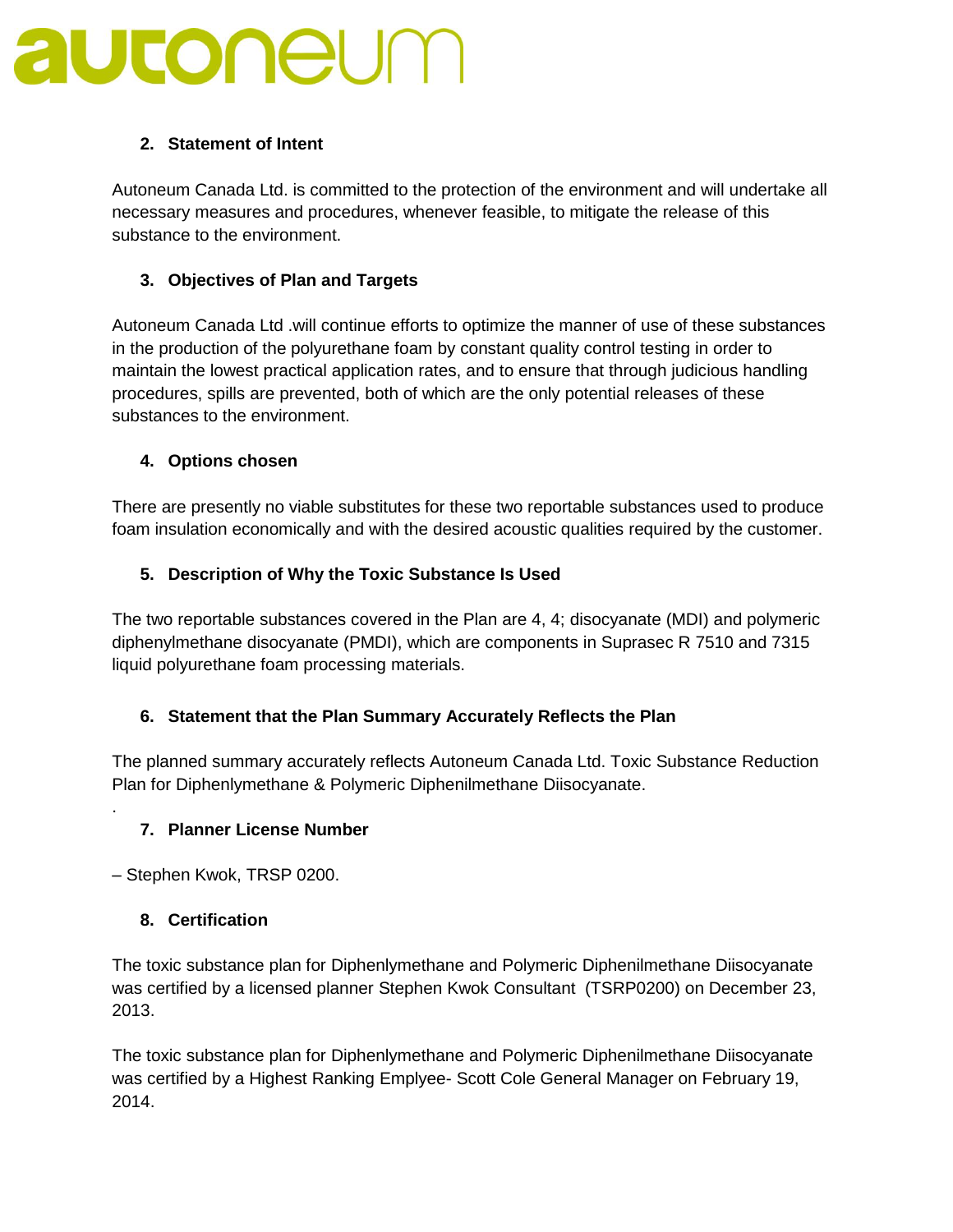# **UTONEUM**

#### **2. Statement of Intent**

Autoneum Canada Ltd. is committed to the protection of the environment and will undertake all necessary measures and procedures, whenever feasible, to mitigate the release of this substance to the environment.

#### **3. Objectives of Plan and Targets**

Autoneum Canada Ltd .will continue efforts to optimize the manner of use of these substances in the production of the polyurethane foam by constant quality control testing in order to maintain the lowest practical application rates, and to ensure that through judicious handling procedures, spills are prevented, both of which are the only potential releases of these substances to the environment.

#### **4. Options chosen**

There are presently no viable substitutes for these two reportable substances used to produce foam insulation economically and with the desired acoustic qualities required by the customer.

#### **5. Description of Why the Toxic Substance Is Used**

The two reportable substances covered in the Plan are 4, 4; disocyanate (MDI) and polymeric diphenylmethane disocyanate (PMDI), which are components in Suprasec R 7510 and 7315 liquid polyurethane foam processing materials.

#### **6. Statement that the Plan Summary Accurately Reflects the Plan**

The planned summary accurately reflects Autoneum Canada Ltd. Toxic Substance Reduction Plan for Diphenlymethane & Polymeric Diphenilmethane Diisocyanate.

#### **7. Planner License Number**

– Stephen Kwok, TRSP 0200.

#### **8. Certification**

.

The toxic substance plan for Diphenlymethane and Polymeric Diphenilmethane Diisocyanate was certified by a licensed planner Stephen Kwok Consultant (TSRP0200) on December 23, 2013.

The toxic substance plan for Diphenlymethane and Polymeric Diphenilmethane Diisocyanate was certified by a Highest Ranking Emplyee- Scott Cole General Manager on February 19, 2014.